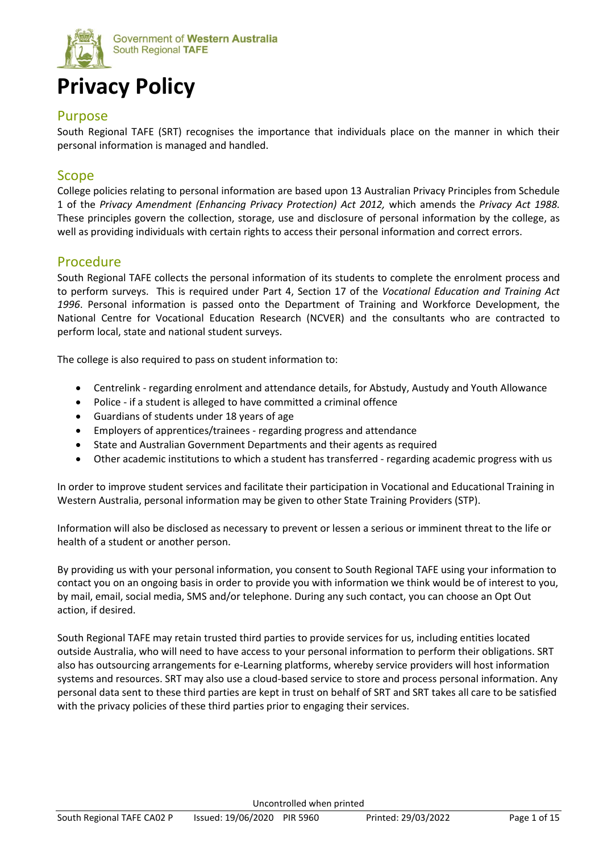

# **Privacy Policy**

# Purpose

South Regional TAFE (SRT) recognises the importance that individuals place on the manner in which their personal information is managed and handled.

# Scope

College policies relating to personal information are based upon 13 Australian Privacy Principles from Schedule 1 of the *Privacy Amendment (Enhancing Privacy Protection) Act 2012,* which amends the *Privacy Act 1988.* These principles govern the collection, storage, use and disclosure of personal information by the college, as well as providing individuals with certain rights to access their personal information and correct errors.

# Procedure

South Regional TAFE collects the personal information of its students to complete the enrolment process and to perform surveys. This is required under Part 4, Section 17 of the *Vocational Education and Training Act 1996*. Personal information is passed onto the Department of Training and Workforce Development, the National Centre for Vocational Education Research (NCVER) and the consultants who are contracted to perform local, state and national student surveys.

The college is also required to pass on student information to:

- Centrelink regarding enrolment and attendance details, for Abstudy, Austudy and Youth Allowance
- Police if a student is alleged to have committed a criminal offence
- Guardians of students under 18 years of age
- Employers of apprentices/trainees regarding progress and attendance
- State and Australian Government Departments and their agents as required
- Other academic institutions to which a student has transferred regarding academic progress with us

In order to improve student services and facilitate their participation in Vocational and Educational Training in Western Australia, personal information may be given to other State Training Providers (STP).

Information will also be disclosed as necessary to prevent or lessen a serious or imminent threat to the life or health of a student or another person.

By providing us with your personal information, you consent to South Regional TAFE using your information to contact you on an ongoing basis in order to provide you with information we think would be of interest to you, by mail, email, social media, SMS and/or telephone. During any such contact, you can choose an Opt Out action, if desired.

South Regional TAFE may retain trusted third parties to provide services for us, including entities located outside Australia, who will need to have access to your personal information to perform their obligations. SRT also has outsourcing arrangements for e-Learning platforms, whereby service providers will host information systems and resources. SRT may also use a cloud-based service to store and process personal information. Any personal data sent to these third parties are kept in trust on behalf of SRT and SRT takes all care to be satisfied with the privacy policies of these third parties prior to engaging their services.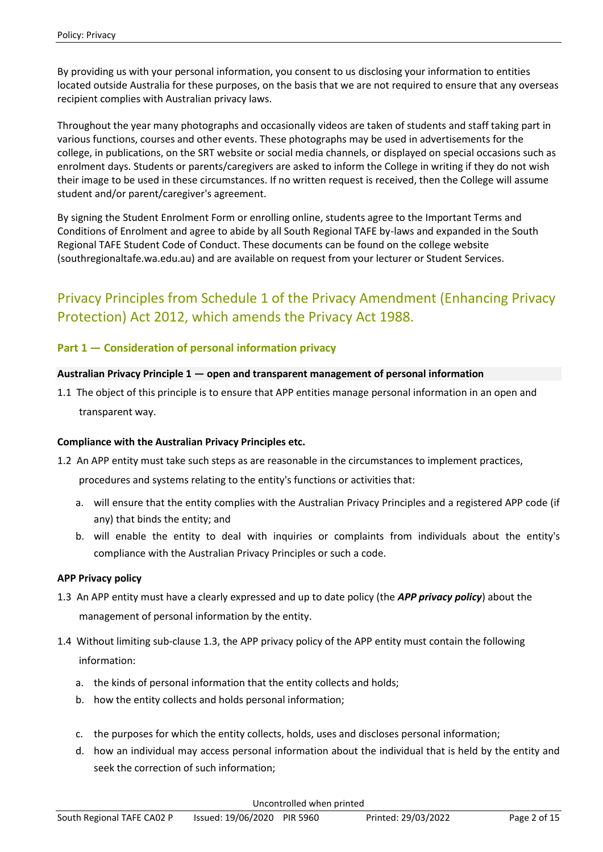By providing us with your personal information, you consent to us disclosing your information to entities located outside Australia for these purposes, on the basis that we are not required to ensure that any overseas recipient complies with Australian privacy laws.

Throughout the year many photographs and occasionally videos are taken of students and staff taking part in various functions, courses and other events. These photographs may be used in advertisements for the college, in publications, on the SRT website or social media channels, or displayed on special occasions such as enrolment days. Students or parents/caregivers are asked to inform the College in writing if they do not wish their image to be used in these circumstances. If no written request is received, then the College will assume student and/or parent/caregiver's agreement.

By signing the Student Enrolment Form or enrolling online, students agree to the Important Terms and Conditions of Enrolment and agree to abide by all South Regional TAFE by-laws and expanded in the South Regional TAFE Student Code of Conduct. These documents can be found on the college website (southregionaltafe.wa.edu.au) and are available on request from your lecturer or Student Services.

# Privacy Principles from Schedule 1 of the Privacy Amendment (Enhancing Privacy Protection) Act 2012, which amends the Privacy Act 1988.

# **Part 1 — Consideration of personal information privacy**

## **Australian Privacy Principle 1 — open and transparent management of personal information**

1.1 The object of this principle is to ensure that APP entities manage personal information in an open and transparent way.

# **Compliance with the Australian Privacy Principles etc.**

- 1.2 An APP entity must take such steps as are reasonable in the circumstances to implement practices, procedures and systems relating to the entity's functions or activities that:
	- a. will ensure that the entity complies with the Australian Privacy Principles and a registered APP code (if any) that binds the entity; and
	- b. will enable the entity to deal with inquiries or complaints from individuals about the entity's compliance with the Australian Privacy Principles or such a code.

# **APP Privacy policy**

- 1.3 An APP entity must have a clearly expressed and up to date policy (the *APP privacy policy*) about the management of personal information by the entity.
- 1.4 Without limiting sub-clause 1.3, the APP privacy policy of the APP entity must contain the following information:
	- a. the kinds of personal information that the entity collects and holds;
	- b. how the entity collects and holds personal information;
	- c. the purposes for which the entity collects, holds, uses and discloses personal information;
	- d. how an individual may access personal information about the individual that is held by the entity and seek the correction of such information;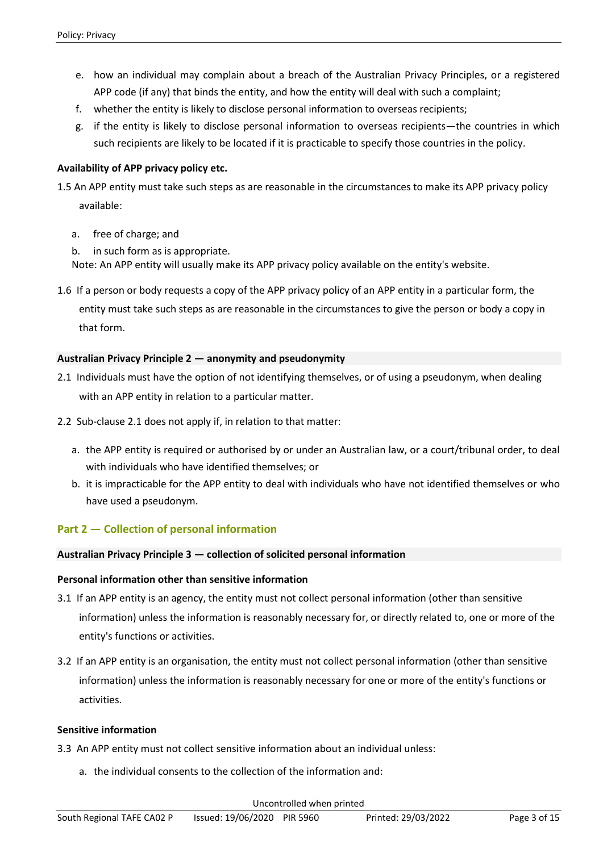- e. how an individual may complain about a breach of the Australian Privacy Principles, or a registered APP code (if any) that binds the entity, and how the entity will deal with such a complaint;
- f. whether the entity is likely to disclose personal information to overseas recipients;
- g. if the entity is likely to disclose personal information to overseas recipients—the countries in which such recipients are likely to be located if it is practicable to specify those countries in the policy.

# **Availability of APP privacy policy etc.**

1.5 An APP entity must take such steps as are reasonable in the circumstances to make its APP privacy policy available:

- a. free of charge; and
- b. in such form as is appropriate.

Note: An APP entity will usually make its APP privacy policy available on the entity's website.

1.6 If a person or body requests a copy of the APP privacy policy of an APP entity in a particular form, the entity must take such steps as are reasonable in the circumstances to give the person or body a copy in that form.

## **Australian Privacy Principle 2 — anonymity and pseudonymity**

- 2.1 Individuals must have the option of not identifying themselves, or of using a pseudonym, when dealing with an APP entity in relation to a particular matter.
- 2.2 Sub-clause 2.1 does not apply if, in relation to that matter:
	- a. the APP entity is required or authorised by or under an Australian law, or a court/tribunal order, to deal with individuals who have identified themselves; or
	- b. it is impracticable for the APP entity to deal with individuals who have not identified themselves or who have used a pseudonym.

# **Part 2 — Collection of personal information**

#### **Australian Privacy Principle 3 — collection of solicited personal information**

#### **Personal information other than sensitive information**

- 3.1 If an APP entity is an agency, the entity must not collect personal information (other than sensitive information) unless the information is reasonably necessary for, or directly related to, one or more of the entity's functions or activities.
- 3.2 If an APP entity is an organisation, the entity must not collect personal information (other than sensitive information) unless the information is reasonably necessary for one or more of the entity's functions or activities.

#### **Sensitive information**

- 3.3 An APP entity must not collect sensitive information about an individual unless:
	- a. the individual consents to the collection of the information and: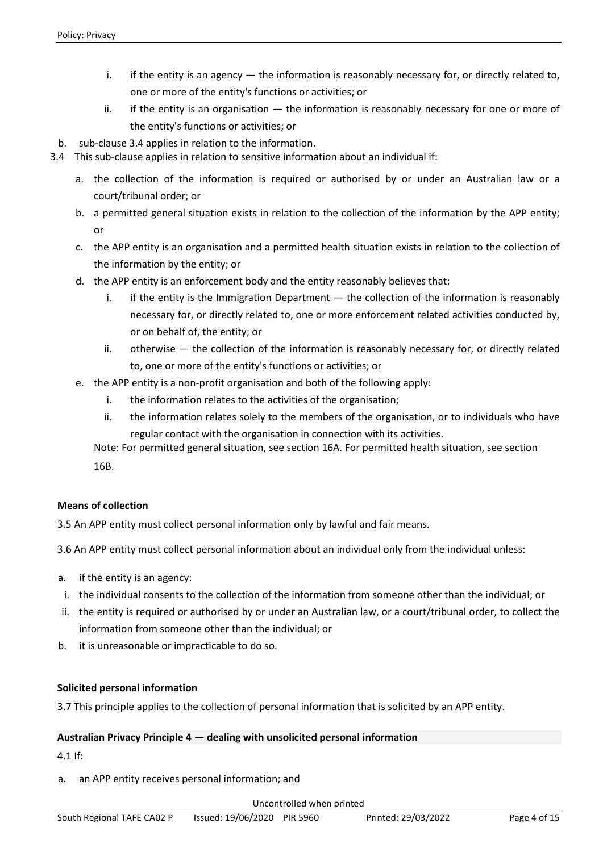- i. if the entity is an agency the information is reasonably necessary for, or directly related to, one or more of the entity's functions or activities; or
- $ii.$  if the entity is an organisation  $-$  the information is reasonably necessary for one or more of the entity's functions or activities; or
- b. sub-clause 3.4 applies in relation to the information.
- 3.4 This sub-clause applies in relation to sensitive information about an individual if:
	- a. the collection of the information is required or authorised by or under an Australian law or a court/tribunal order; or
	- b. a permitted general situation exists in relation to the collection of the information by the APP entity; or
	- c. the APP entity is an organisation and a permitted health situation exists in relation to the collection of the information by the entity; or
	- d. the APP entity is an enforcement body and the entity reasonably believes that:
		- i. if the entity is the Immigration Department the collection of the information is reasonably necessary for, or directly related to, one or more enforcement related activities conducted by, or on behalf of, the entity; or
		- ii. otherwise the collection of the information is reasonably necessary for, or directly related to, one or more of the entity's functions or activities; or
	- e. the APP entity is a non-profit organisation and both of the following apply:
		- i. the information relates to the activities of the organisation;
		- ii. the information relates solely to the members of the organisation, or to individuals who have regular contact with the organisation in connection with its activities.

Note: For permitted general situation, see section 16A. For permitted health situation, see section 16B.

# **Means of collection**

3.5 An APP entity must collect personal information only by lawful and fair means.

3.6 An APP entity must collect personal information about an individual only from the individual unless:

- a. if the entity is an agency:
- i. the individual consents to the collection of the information from someone other than the individual; or
- ii. the entity is required or authorised by or under an Australian law, or a court/tribunal order, to collect the information from someone other than the individual; or
- b. it is unreasonable or impracticable to do so.

# **Solicited personal information**

3.7 This principle applies to the collection of personal information that is solicited by an APP entity.

# **Australian Privacy Principle 4 — dealing with unsolicited personal information**

4.1 If:

a. an APP entity receives personal information; and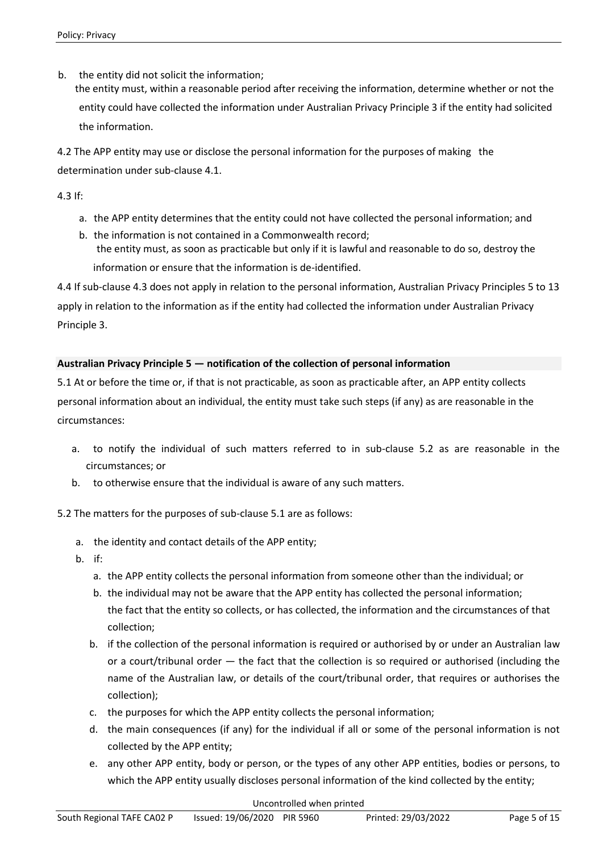b. the entity did not solicit the information;

 the entity must, within a reasonable period after receiving the information, determine whether or not the entity could have collected the information under Australian Privacy Principle 3 if the entity had solicited the information.

4.2 The APP entity may use or disclose the personal information for the purposes of making the determination under sub-clause 4.1.

4.3 If:

- a. the APP entity determines that the entity could not have collected the personal information; and
- b. the information is not contained in a Commonwealth record; the entity must, as soon as practicable but only if it is lawful and reasonable to do so, destroy the information or ensure that the information is de-identified.

4.4 If sub-clause 4.3 does not apply in relation to the personal information, Australian Privacy Principles 5 to 13 apply in relation to the information as if the entity had collected the information under Australian Privacy Principle 3.

# **Australian Privacy Principle 5 — notification of the collection of personal information**

5.1 At or before the time or, if that is not practicable, as soon as practicable after, an APP entity collects personal information about an individual, the entity must take such steps (if any) as are reasonable in the circumstances:

- a. to notify the individual of such matters referred to in sub-clause 5.2 as are reasonable in the circumstances; or
- b. to otherwise ensure that the individual is aware of any such matters.

5.2 The matters for the purposes of sub-clause 5.1 are as follows:

- a. the identity and contact details of the APP entity;
- b. if:
	- a. the APP entity collects the personal information from someone other than the individual; or
	- b. the individual may not be aware that the APP entity has collected the personal information; the fact that the entity so collects, or has collected, the information and the circumstances of that collection;
	- b. if the collection of the personal information is required or authorised by or under an Australian law or a court/tribunal order — the fact that the collection is so required or authorised (including the name of the Australian law, or details of the court/tribunal order, that requires or authorises the collection);
	- c. the purposes for which the APP entity collects the personal information;
	- d. the main consequences (if any) for the individual if all or some of the personal information is not collected by the APP entity;
	- e. any other APP entity, body or person, or the types of any other APP entities, bodies or persons, to which the APP entity usually discloses personal information of the kind collected by the entity;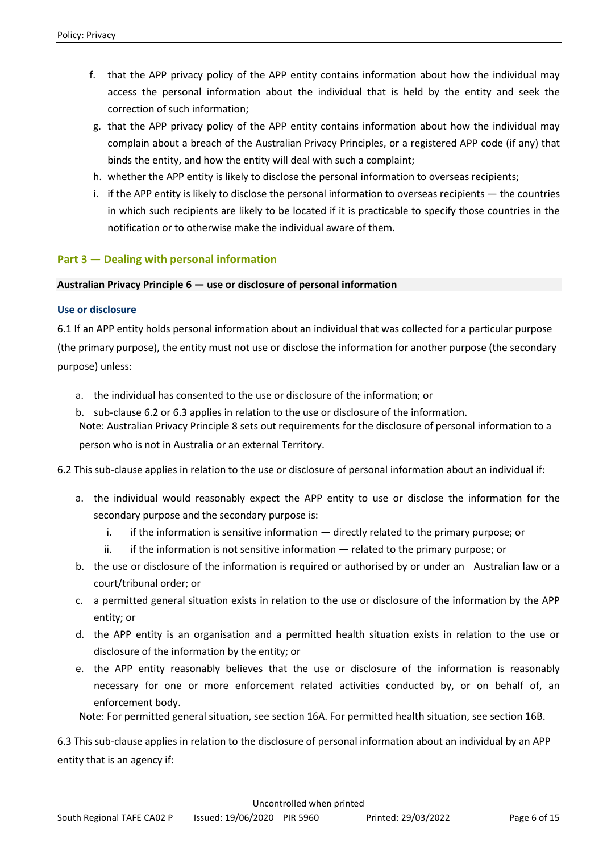- f. that the APP privacy policy of the APP entity contains information about how the individual may access the personal information about the individual that is held by the entity and seek the correction of such information;
- g. that the APP privacy policy of the APP entity contains information about how the individual may complain about a breach of the Australian Privacy Principles, or a registered APP code (if any) that binds the entity, and how the entity will deal with such a complaint;
- h. whether the APP entity is likely to disclose the personal information to overseas recipients;
- i. if the APP entity is likely to disclose the personal information to overseas recipients the countries in which such recipients are likely to be located if it is practicable to specify those countries in the notification or to otherwise make the individual aware of them.

# **Part 3 — Dealing with personal information**

## **Australian Privacy Principle 6 — use or disclosure of personal information**

## **Use or disclosure**

6.1 If an APP entity holds personal information about an individual that was collected for a particular purpose (the primary purpose), the entity must not use or disclose the information for another purpose (the secondary purpose) unless:

a. the individual has consented to the use or disclosure of the information; or

b. sub-clause 6.2 or 6.3 applies in relation to the use or disclosure of the information. Note: Australian Privacy Principle 8 sets out requirements for the disclosure of personal information to a

person who is not in Australia or an external Territory.

6.2 This sub-clause applies in relation to the use or disclosure of personal information about an individual if:

- a. the individual would reasonably expect the APP entity to use or disclose the information for the secondary purpose and the secondary purpose is:
	- i. if the information is sensitive information directly related to the primary purpose; or
	- ii. if the information is not sensitive information related to the primary purpose; or
- b. the use or disclosure of the information is required or authorised by or under an Australian law or a court/tribunal order; or
- c. a permitted general situation exists in relation to the use or disclosure of the information by the APP entity; or
- d. the APP entity is an organisation and a permitted health situation exists in relation to the use or disclosure of the information by the entity; or
- e. the APP entity reasonably believes that the use or disclosure of the information is reasonably necessary for one or more enforcement related activities conducted by, or on behalf of, an enforcement body.

Note: For permitted general situation, see section 16A. For permitted health situation, see section 16B.

6.3 This sub-clause applies in relation to the disclosure of personal information about an individual by an APP entity that is an agency if: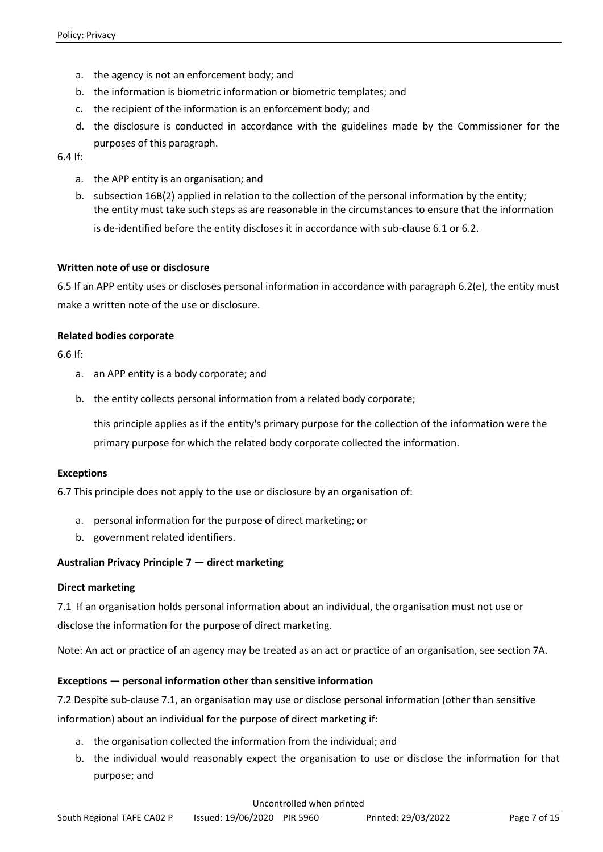- a. the agency is not an enforcement body; and
- b. the information is biometric information or biometric templates; and
- c. the recipient of the information is an enforcement body; and
- d. the disclosure is conducted in accordance with the guidelines made by the Commissioner for the purposes of this paragraph.

6.4 If:

- a. the APP entity is an organisation; and
- b. subsection 16B(2) applied in relation to the collection of the personal information by the entity; the entity must take such steps as are reasonable in the circumstances to ensure that the information is de-identified before the entity discloses it in accordance with sub-clause 6.1 or 6.2.

#### **Written note of use or disclosure**

6.5 If an APP entity uses or discloses personal information in accordance with paragraph 6.2(e), the entity must make a written note of the use or disclosure.

#### **Related bodies corporate**

6.6 If:

- a. an APP entity is a body corporate; and
- b. the entity collects personal information from a related body corporate;

this principle applies as if the entity's primary purpose for the collection of the information were the primary purpose for which the related body corporate collected the information.

#### **Exceptions**

6.7 This principle does not apply to the use or disclosure by an organisation of:

- a. personal information for the purpose of direct marketing; or
- b. government related identifiers.

#### **Australian Privacy Principle 7 — direct marketing**

#### **Direct marketing**

7.1 If an organisation holds personal information about an individual, the organisation must not use or disclose the information for the purpose of direct marketing.

Note: An act or practice of an agency may be treated as an act or practice of an organisation, see section 7A.

#### **Exceptions — personal information other than sensitive information**

7.2 Despite sub-clause 7.1, an organisation may use or disclose personal information (other than sensitive information) about an individual for the purpose of direct marketing if:

- a. the organisation collected the information from the individual; and
- b. the individual would reasonably expect the organisation to use or disclose the information for that purpose; and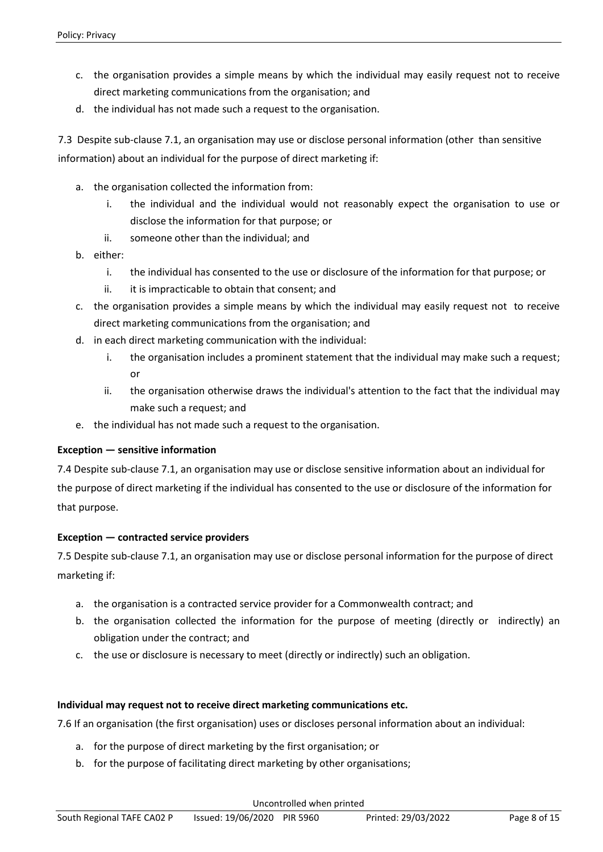- c. the organisation provides a simple means by which the individual may easily request not to receive direct marketing communications from the organisation; and
- d. the individual has not made such a request to the organisation.

7.3 Despite sub-clause 7.1, an organisation may use or disclose personal information (other than sensitive information) about an individual for the purpose of direct marketing if:

- a. the organisation collected the information from:
	- i. the individual and the individual would not reasonably expect the organisation to use or disclose the information for that purpose; or
	- ii. someone other than the individual; and
- b. either:
	- i. the individual has consented to the use or disclosure of the information for that purpose; or
	- ii. it is impracticable to obtain that consent; and
- c. the organisation provides a simple means by which the individual may easily request not to receive direct marketing communications from the organisation; and
- d. in each direct marketing communication with the individual:
	- i. the organisation includes a prominent statement that the individual may make such a request; or
	- ii. the organisation otherwise draws the individual's attention to the fact that the individual may make such a request; and
- e. the individual has not made such a request to the organisation.

#### **Exception — sensitive information**

7.4 Despite sub-clause 7.1, an organisation may use or disclose sensitive information about an individual for the purpose of direct marketing if the individual has consented to the use or disclosure of the information for that purpose.

#### **Exception — contracted service providers**

7.5 Despite sub-clause 7.1, an organisation may use or disclose personal information for the purpose of direct marketing if:

- a. the organisation is a contracted service provider for a Commonwealth contract; and
- b. the organisation collected the information for the purpose of meeting (directly or indirectly) an obligation under the contract; and
- c. the use or disclosure is necessary to meet (directly or indirectly) such an obligation.

#### **Individual may request not to receive direct marketing communications etc.**

7.6 If an organisation (the first organisation) uses or discloses personal information about an individual:

- a. for the purpose of direct marketing by the first organisation; or
- b. for the purpose of facilitating direct marketing by other organisations;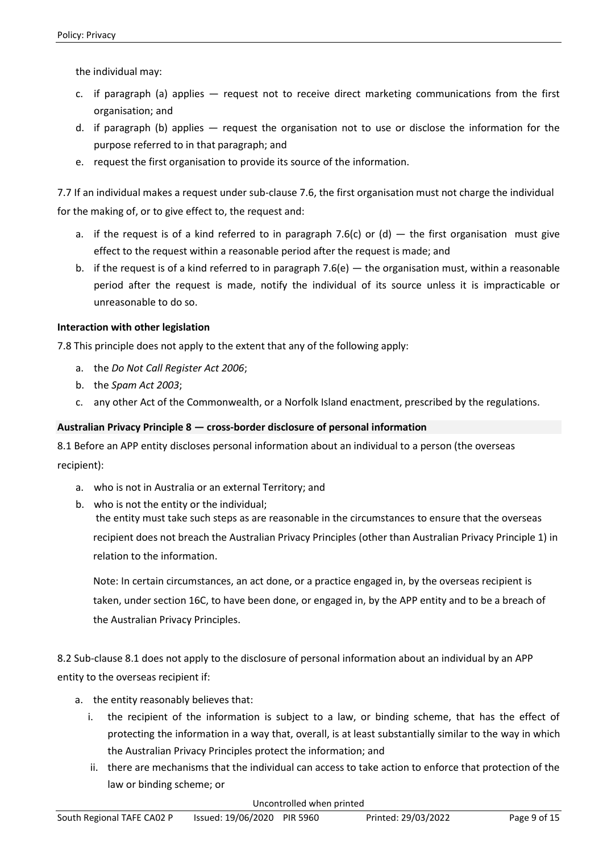the individual may:

- c. if paragraph (a) applies request not to receive direct marketing communications from the first organisation; and
- d. if paragraph (b) applies request the organisation not to use or disclose the information for the purpose referred to in that paragraph; and
- e. request the first organisation to provide its source of the information.

7.7 If an individual makes a request under sub-clause 7.6, the first organisation must not charge the individual for the making of, or to give effect to, the request and:

- a. if the request is of a kind referred to in paragraph 7.6(c) or  $(d)$  the first organisation must give effect to the request within a reasonable period after the request is made; and
- b. if the request is of a kind referred to in paragraph 7.6(e)  $-$  the organisation must, within a reasonable period after the request is made, notify the individual of its source unless it is impracticable or unreasonable to do so.

# **Interaction with other legislation**

7.8 This principle does not apply to the extent that any of the following apply:

- a. the *Do Not Call Register Act 2006*;
- b. the *Spam Act 2003*;
- c. any other Act of the Commonwealth, or a Norfolk Island enactment, prescribed by the regulations.

# **Australian Privacy Principle 8 — cross-border disclosure of personal information**

8.1 Before an APP entity discloses personal information about an individual to a person (the overseas recipient):

- a. who is not in Australia or an external Territory; and
- b. who is not the entity or the individual;

the entity must take such steps as are reasonable in the circumstances to ensure that the overseas recipient does not breach the Australian Privacy Principles (other than Australian Privacy Principle 1) in relation to the information.

Note: In certain circumstances, an act done, or a practice engaged in, by the overseas recipient is taken, under section 16C, to have been done, or engaged in, by the APP entity and to be a breach of the Australian Privacy Principles.

8.2 Sub-clause 8.1 does not apply to the disclosure of personal information about an individual by an APP entity to the overseas recipient if:

- a. the entity reasonably believes that:
	- i. the recipient of the information is subject to a law, or binding scheme, that has the effect of protecting the information in a way that, overall, is at least substantially similar to the way in which the Australian Privacy Principles protect the information; and
	- ii. there are mechanisms that the individual can access to take action to enforce that protection of the law or binding scheme; or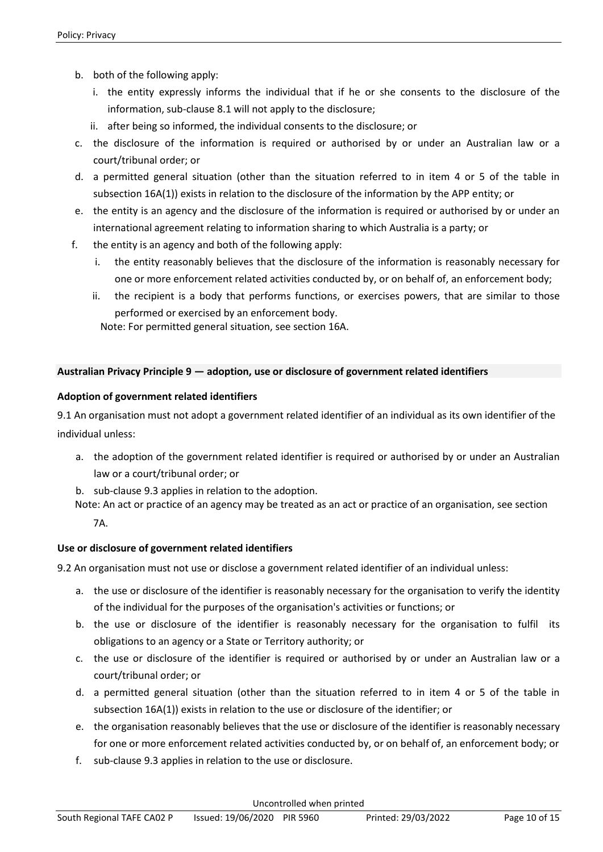- b. both of the following apply:
	- i. the entity expressly informs the individual that if he or she consents to the disclosure of the information, sub-clause 8.1 will not apply to the disclosure;
	- ii. after being so informed, the individual consents to the disclosure; or
- c. the disclosure of the information is required or authorised by or under an Australian law or a court/tribunal order; or
- d. a permitted general situation (other than the situation referred to in item 4 or 5 of the table in subsection 16A(1)) exists in relation to the disclosure of the information by the APP entity; or
- e. the entity is an agency and the disclosure of the information is required or authorised by or under an international agreement relating to information sharing to which Australia is a party; or
- f. the entity is an agency and both of the following apply:
	- i. the entity reasonably believes that the disclosure of the information is reasonably necessary for one or more enforcement related activities conducted by, or on behalf of, an enforcement body;
	- ii. the recipient is a body that performs functions, or exercises powers, that are similar to those performed or exercised by an enforcement body.

Note: For permitted general situation, see section 16A.

# **Australian Privacy Principle 9 — adoption, use or disclosure of government related identifiers**

# **Adoption of government related identifiers**

9.1 An organisation must not adopt a government related identifier of an individual as its own identifier of the individual unless:

- a. the adoption of the government related identifier is required or authorised by or under an Australian law or a court/tribunal order; or
- b. sub-clause 9.3 applies in relation to the adoption.
- Note: An act or practice of an agency may be treated as an act or practice of an organisation, see section 7A.

# **Use or disclosure of government related identifiers**

9.2 An organisation must not use or disclose a government related identifier of an individual unless:

- a. the use or disclosure of the identifier is reasonably necessary for the organisation to verify the identity of the individual for the purposes of the organisation's activities or functions; or
- b. the use or disclosure of the identifier is reasonably necessary for the organisation to fulfil its obligations to an agency or a State or Territory authority; or
- c. the use or disclosure of the identifier is required or authorised by or under an Australian law or a court/tribunal order; or
- d. a permitted general situation (other than the situation referred to in item 4 or 5 of the table in subsection 16A(1)) exists in relation to the use or disclosure of the identifier; or
- e. the organisation reasonably believes that the use or disclosure of the identifier is reasonably necessary for one or more enforcement related activities conducted by, or on behalf of, an enforcement body; or
- f. sub-clause 9.3 applies in relation to the use or disclosure.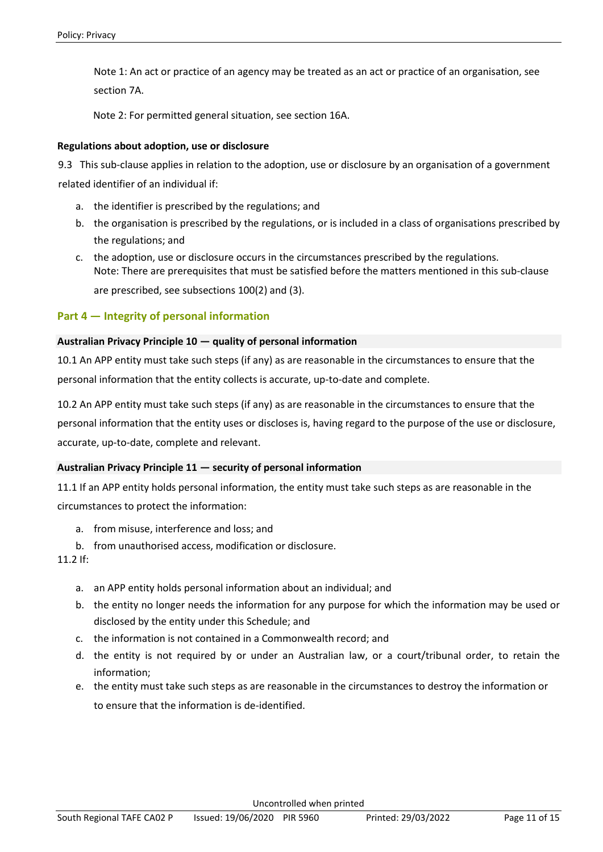Note 1: An act or practice of an agency may be treated as an act or practice of an organisation, see section 7A.

Note 2: For permitted general situation, see section 16A.

#### **Regulations about adoption, use or disclosure**

9.3 This sub-clause applies in relation to the adoption, use or disclosure by an organisation of a government related identifier of an individual if:

- a. the identifier is prescribed by the regulations; and
- b. the organisation is prescribed by the regulations, or is included in a class of organisations prescribed by the regulations; and
- c. the adoption, use or disclosure occurs in the circumstances prescribed by the regulations. Note: There are prerequisites that must be satisfied before the matters mentioned in this sub-clause are prescribed, see subsections 100(2) and (3).

# **Part 4 — Integrity of personal information**

#### **Australian Privacy Principle 10 — quality of personal information**

10.1 An APP entity must take such steps (if any) as are reasonable in the circumstances to ensure that the personal information that the entity collects is accurate, up-to-date and complete.

10.2 An APP entity must take such steps (if any) as are reasonable in the circumstances to ensure that the personal information that the entity uses or discloses is, having regard to the purpose of the use or disclosure, accurate, up-to-date, complete and relevant.

#### **Australian Privacy Principle 11 — security of personal information**

11.1 If an APP entity holds personal information, the entity must take such steps as are reasonable in the circumstances to protect the information:

- a. from misuse, interference and loss; and
- b. from unauthorised access, modification or disclosure.

11.2 If:

- a. an APP entity holds personal information about an individual; and
- b. the entity no longer needs the information for any purpose for which the information may be used or disclosed by the entity under this Schedule; and
- c. the information is not contained in a Commonwealth record; and
- d. the entity is not required by or under an Australian law, or a court/tribunal order, to retain the information;
- e. the entity must take such steps as are reasonable in the circumstances to destroy the information or to ensure that the information is de-identified.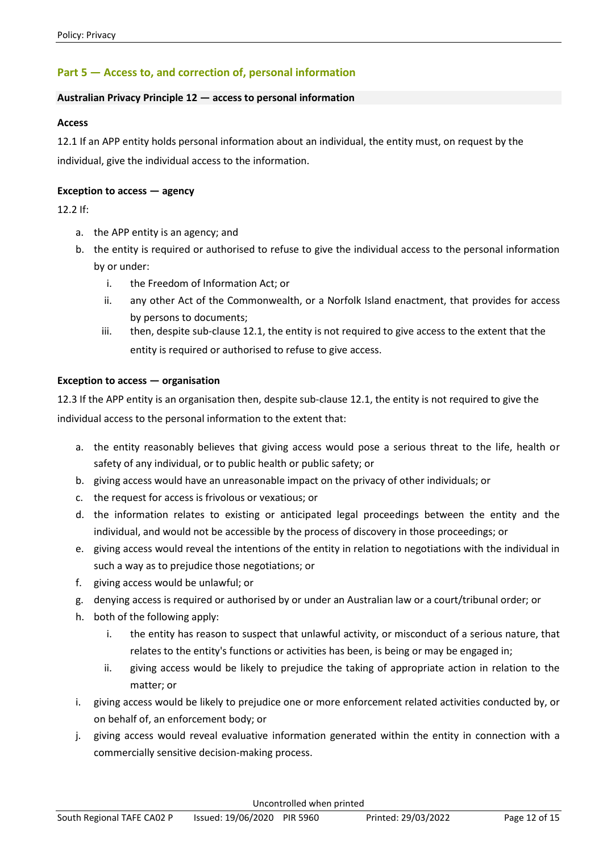# **Part 5 — Access to, and correction of, personal information**

#### **Australian Privacy Principle 12 — access to personal information**

#### **Access**

12.1 If an APP entity holds personal information about an individual, the entity must, on request by the individual, give the individual access to the information.

#### **Exception to access — agency**

12.2 If:

- a. the APP entity is an agency; and
- b. the entity is required or authorised to refuse to give the individual access to the personal information by or under:
	- i. the Freedom of Information Act; or
	- ii. any other Act of the Commonwealth, or a Norfolk Island enactment, that provides for access by persons to documents;
	- iii. then, despite sub-clause 12.1, the entity is not required to give access to the extent that the entity is required or authorised to refuse to give access.

#### **Exception to access — organisation**

12.3 If the APP entity is an organisation then, despite sub-clause 12.1, the entity is not required to give the individual access to the personal information to the extent that:

- a. the entity reasonably believes that giving access would pose a serious threat to the life, health or safety of any individual, or to public health or public safety; or
- b. giving access would have an unreasonable impact on the privacy of other individuals; or
- c. the request for access is frivolous or vexatious; or
- d. the information relates to existing or anticipated legal proceedings between the entity and the individual, and would not be accessible by the process of discovery in those proceedings; or
- e. giving access would reveal the intentions of the entity in relation to negotiations with the individual in such a way as to prejudice those negotiations; or
- f. giving access would be unlawful; or
- g. denying access is required or authorised by or under an Australian law or a court/tribunal order; or
- h. both of the following apply:
	- i. the entity has reason to suspect that unlawful activity, or misconduct of a serious nature, that relates to the entity's functions or activities has been, is being or may be engaged in;
	- ii. giving access would be likely to prejudice the taking of appropriate action in relation to the matter; or
- i. giving access would be likely to prejudice one or more enforcement related activities conducted by, or on behalf of, an enforcement body; or
- j. giving access would reveal evaluative information generated within the entity in connection with a commercially sensitive decision-making process.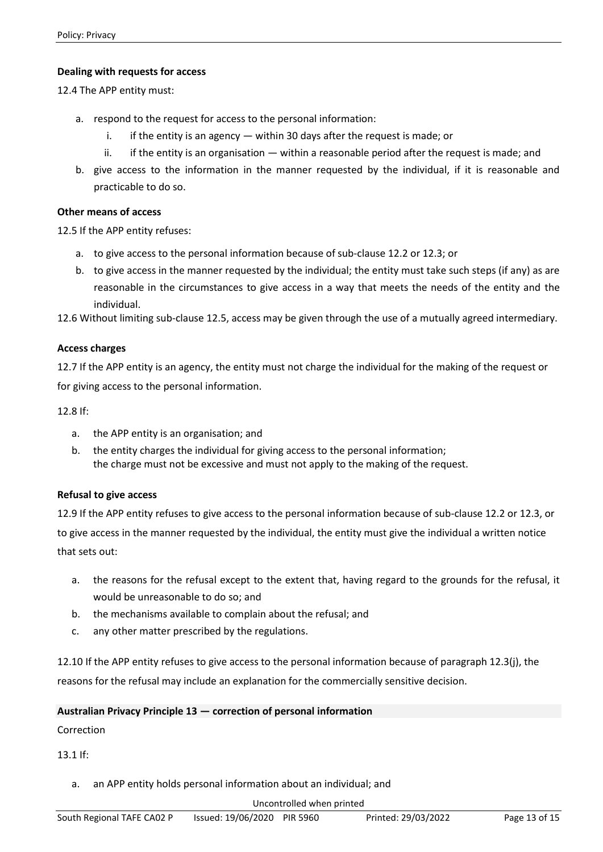## **Dealing with requests for access**

12.4 The APP entity must:

- a. respond to the request for access to the personal information:
	- i. if the entity is an agency within 30 days after the request is made; or
	- ii. if the entity is an organisation within a reasonable period after the request is made; and
- b. give access to the information in the manner requested by the individual, if it is reasonable and practicable to do so.

#### **Other means of access**

12.5 If the APP entity refuses:

- a. to give access to the personal information because of sub-clause 12.2 or 12.3; or
- b. to give access in the manner requested by the individual; the entity must take such steps (if any) as are reasonable in the circumstances to give access in a way that meets the needs of the entity and the individual.

12.6 Without limiting sub-clause 12.5, access may be given through the use of a mutually agreed intermediary.

#### **Access charges**

12.7 If the APP entity is an agency, the entity must not charge the individual for the making of the request or for giving access to the personal information.

12.8 If:

- a. the APP entity is an organisation; and
- b. the entity charges the individual for giving access to the personal information; the charge must not be excessive and must not apply to the making of the request.

#### **Refusal to give access**

12.9 If the APP entity refuses to give access to the personal information because of sub-clause 12.2 or 12.3, or to give access in the manner requested by the individual, the entity must give the individual a written notice that sets out:

- a. the reasons for the refusal except to the extent that, having regard to the grounds for the refusal, it would be unreasonable to do so; and
- b. the mechanisms available to complain about the refusal; and
- c. any other matter prescribed by the regulations.

12.10 If the APP entity refuses to give access to the personal information because of paragraph 12.3(j), the reasons for the refusal may include an explanation for the commercially sensitive decision.

#### **Australian Privacy Principle 13 — correction of personal information**

Correction

13.1 If:

a. an APP entity holds personal information about an individual; and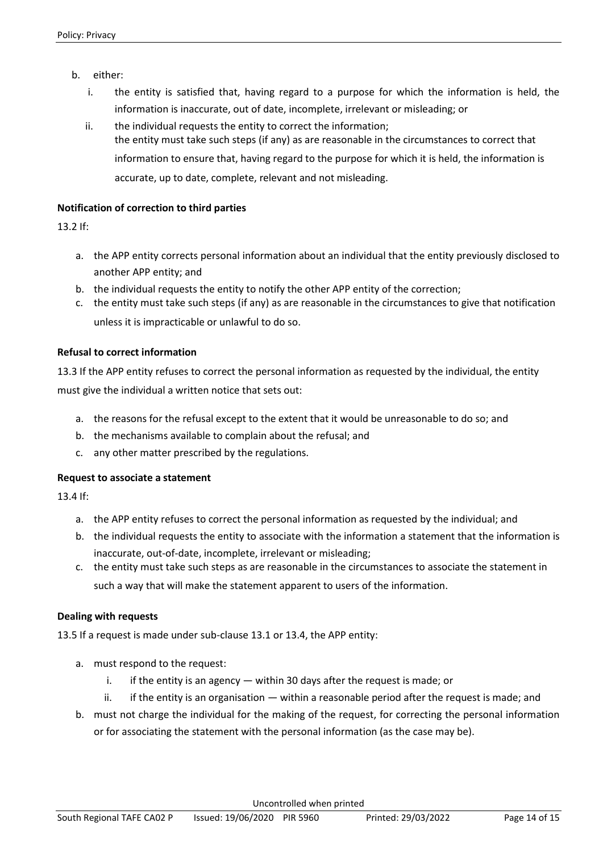- b. either:
	- i. the entity is satisfied that, having regard to a purpose for which the information is held, the information is inaccurate, out of date, incomplete, irrelevant or misleading; or
	- ii. the individual requests the entity to correct the information; the entity must take such steps (if any) as are reasonable in the circumstances to correct that information to ensure that, having regard to the purpose for which it is held, the information is accurate, up to date, complete, relevant and not misleading.

# **Notification of correction to third parties**

13.2 If:

- a. the APP entity corrects personal information about an individual that the entity previously disclosed to another APP entity; and
- b. the individual requests the entity to notify the other APP entity of the correction;
- c. the entity must take such steps (if any) as are reasonable in the circumstances to give that notification unless it is impracticable or unlawful to do so.

# **Refusal to correct information**

13.3 If the APP entity refuses to correct the personal information as requested by the individual, the entity must give the individual a written notice that sets out:

- a. the reasons for the refusal except to the extent that it would be unreasonable to do so; and
- b. the mechanisms available to complain about the refusal; and
- c. any other matter prescribed by the regulations.

# **Request to associate a statement**

13.4 If:

- a. the APP entity refuses to correct the personal information as requested by the individual; and
- b. the individual requests the entity to associate with the information a statement that the information is inaccurate, out-of-date, incomplete, irrelevant or misleading;
- c. the entity must take such steps as are reasonable in the circumstances to associate the statement in such a way that will make the statement apparent to users of the information.

# **Dealing with requests**

13.5 If a request is made under sub-clause 13.1 or 13.4, the APP entity:

- a. must respond to the request:
	- i. if the entity is an agency  $-$  within 30 days after the request is made; or
	- ii. if the entity is an organisation  $-$  within a reasonable period after the request is made; and
- b. must not charge the individual for the making of the request, for correcting the personal information or for associating the statement with the personal information (as the case may be).